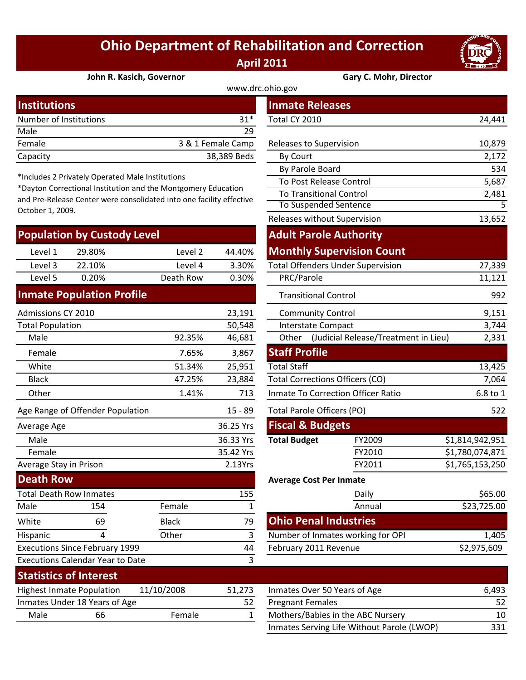## **Ohio Department of Rehabilitation and Correction April 2011**



**John R. Kasich, Governor Gary C. Mohr, Director**

| <b>Institutions</b>    |                   | <b>Inmate Releases</b>  |        |
|------------------------|-------------------|-------------------------|--------|
| Number of Institutions | 31*               | Total CY 2010           | 24,441 |
| Male                   | 29                |                         |        |
| Female                 | 3 & 1 Female Camp | Releases to Supervision | 10,879 |
| Capacity               | 38,389 Beds       | <b>By Court</b>         | 2,172  |
|                        |                   |                         |        |

\*Includes 2 Privately Operated Male Institutions

\*Dayton Correctional Institution and the Montgomery Education and Pre‐Release Center were consolidated into one facility effective October 1, 2009.

| <b>Population by Custody Level</b> |        |           |        |  |  |  |
|------------------------------------|--------|-----------|--------|--|--|--|
| Level 1                            | 29.80% | Level 2   | 44.40% |  |  |  |
| Level 3                            | 22.10% | Level 4   | 3.30%  |  |  |  |
| Level 5                            | 0.20%  | Death Row | 0.30%  |  |  |  |
|                                    |        |           |        |  |  |  |

## **Inmate Population Profile**

Executions Calendar Year to Date

Executions Since February 1999

| Admissions CY 2010             |                                  |              | 23,191    | <b>Community Control</b>    |                                        |                 |
|--------------------------------|----------------------------------|--------------|-----------|-----------------------------|----------------------------------------|-----------------|
| <b>Total Population</b>        |                                  |              | 50,548    |                             | Interstate Compact                     | 3,744           |
| Male                           |                                  | 92.35%       | 46,681    | Other                       | (Judicial Release/Treatment in Lieu)   | 2,331           |
| Female                         |                                  | 7.65%        | 3,867     | <b>Staff Profile</b>        |                                        |                 |
| White                          |                                  | 51.34%       | 25,951    | <b>Total Staff</b>          |                                        | 13,425          |
| <b>Black</b>                   |                                  | 47.25%       | 23,884    |                             | <b>Total Corrections Officers (CO)</b> | 7,064           |
| Other                          |                                  | 1.41%        | 713       |                             | Inmate To Correction Officer Ratio     | 6.8 to 1        |
|                                | Age Range of Offender Population |              | 15 - 89   | Total Parole Officers (PO)  | 522                                    |                 |
| Average Age                    |                                  |              | 36.25 Yrs | <b>Fiscal &amp; Budgets</b> |                                        |                 |
| Male                           |                                  |              | 36.33 Yrs | <b>Total Budget</b>         | FY2009                                 | \$1,814,942,951 |
| Female                         |                                  |              | 35.42 Yrs |                             | FY2010                                 | \$1,780,074,871 |
| Average Stay in Prison         |                                  |              | 2.13Yrs   |                             | FY2011                                 | \$1,765,153,250 |
| <b>Death Row</b>               |                                  |              |           |                             | <b>Average Cost Per Inmate</b>         |                 |
| <b>Total Death Row Inmates</b> |                                  |              | 155       |                             | Daily                                  | \$65.00         |
| Male                           | 154                              | Female       |           |                             | Annual                                 | \$23,725.00     |
| White                          | 69                               | <b>Black</b> | 79        |                             | <b>Ohio Penal Industries</b>           |                 |
| Hispanic                       | 4                                | Other        | 3         |                             | Number of Inmates working for OPI      | 1,405           |

|                      |                                               |                                                                  |                   | www.drc.ohio.gov            |                                           |                 |
|----------------------|-----------------------------------------------|------------------------------------------------------------------|-------------------|-----------------------------|-------------------------------------------|-----------------|
| stitutions           |                                               |                                                                  |                   | <b>Inmate Releases</b>      |                                           |                 |
| mber of Institutions |                                               |                                                                  | $31*$             | Total CY 2010               |                                           | 24,441          |
| le                   |                                               |                                                                  | 29                |                             |                                           |                 |
| nale                 |                                               |                                                                  | 3 & 1 Female Camp | Releases to Supervision     |                                           | 10,879          |
| acity                |                                               |                                                                  | 38,389 Beds       | By Court                    |                                           | 2,172           |
|                      |                                               |                                                                  |                   | By Parole Board             |                                           | 534             |
|                      | cludes 2 Privately Operated Male Institutions | yton Correctional Institution and the Montgomery Education       |                   |                             | To Post Release Control                   | 5,687           |
|                      |                                               | Pre-Release Center were consolidated into one facility effective |                   |                             | <b>To Transitional Control</b>            | 2,481           |
| ober 1, 2009.        |                                               |                                                                  |                   |                             | <b>To Suspended Sentence</b>              | 5               |
|                      |                                               |                                                                  |                   |                             | Releases without Supervision              | 13,652          |
|                      | pulation by Custody Level                     |                                                                  |                   |                             | <b>Adult Parole Authority</b>             |                 |
| Level 1              | 29.80%                                        | Level 2                                                          | 44.40%            |                             | <b>Monthly Supervision Count</b>          |                 |
| Level 3              | 22.10%                                        | Level 4                                                          | 3.30%             |                             | <b>Total Offenders Under Supervision</b>  | 27,339          |
| Level 5              | 0.20%                                         | Death Row                                                        | 0.30%             | PRC/Parole                  |                                           | 11,121          |
|                      | mate Population Profile                       |                                                                  |                   |                             | <b>Transitional Control</b>               | 992             |
| nissions CY 2010     |                                               |                                                                  | 23,191            |                             | <b>Community Control</b>                  | 9,151           |
| al Population        |                                               |                                                                  | 50,548            |                             | <b>Interstate Compact</b>                 | 3,744           |
| Male                 |                                               | 92.35%                                                           | 46,681            | Other                       | (Judicial Release/Treatment in Lieu)      | 2,331           |
| Female               |                                               | 7.65%                                                            | 3,867             | <b>Staff Profile</b>        |                                           |                 |
| White                |                                               | 51.34%                                                           | 25,951            | <b>Total Staff</b>          |                                           | 13,425          |
| <b>Black</b>         |                                               | 47.25%                                                           | 23,884            |                             | Total Corrections Officers (CO)           | 7,064           |
| <b>Other</b>         |                                               | 1.41%                                                            | 713               |                             | <b>Inmate To Correction Officer Ratio</b> | 6.8 to 1        |
|                      | Range of Offender Population                  |                                                                  | $15 - 89$         |                             | Total Parole Officers (PO)                | 522             |
| rage Age             |                                               |                                                                  | 36.25 Yrs         | <b>Fiscal &amp; Budgets</b> |                                           |                 |
| Male                 |                                               |                                                                  | 36.33 Yrs         | <b>Total Budget</b>         | FY2009                                    | \$1,814,942,951 |
| Female               |                                               |                                                                  | 35.42 Yrs         |                             | FY2010                                    | \$1,780,074,871 |
| rage Stay in Prison  |                                               |                                                                  | 2.13Yrs           |                             | FY2011                                    | \$1,765,153,250 |
| ath Row              |                                               |                                                                  |                   |                             | <b>Average Cost Per Inmate</b>            |                 |
|                      | al Death Row Inmates                          |                                                                  | 155               |                             | Daily                                     | \$65.00         |
| le                   | 154                                           | Female                                                           | $\mathbf{1}$      |                             | Annual                                    | \$23,725.00     |
| ite                  | 69                                            | <b>Black</b>                                                     | 79                |                             | <b>Ohio Penal Industries</b>              |                 |
| panic                | 4                                             | Other                                                            | 3                 |                             | Number of Inmates working for OPI         | 1,405           |
|                      | cutions Since February 1999                   |                                                                  | 44                | February 2011 Revenue       |                                           | \$2,975,609     |
|                      | cutions Calendar Year to Date                 |                                                                  | 3                 |                             |                                           |                 |

|      | <b>Statistics of Interest</b>    |            |        |                              |
|------|----------------------------------|------------|--------|------------------------------|
|      | <b>Highest Inmate Population</b> | 11/10/2008 | 51.273 | Inmates Over 50 Years of Age |
|      | Inmates Under 18 Years of Age    |            | -52    | <b>Pregnant Females</b>      |
| Male | 66                               | Female     |        | Mothers/Babies in the ABC No |
|      |                                  |            |        |                              |

| Statistics Of Interest                         |                               |        |                              |                                            |     |
|------------------------------------------------|-------------------------------|--------|------------------------------|--------------------------------------------|-----|
| 11/10/2008<br><b>Highest Inmate Population</b> |                               | 51.273 | Inmates Over 50 Years of Age | 6.493                                      |     |
|                                                | Inmates Under 18 Years of Age |        |                              | <b>Pregnant Females</b>                    | 52  |
| Male                                           | 66                            | Female |                              | Mothers/Babies in the ABC Nursery          | 10  |
|                                                |                               |        |                              | Inmates Serving Life Without Parole (LWOP) | 331 |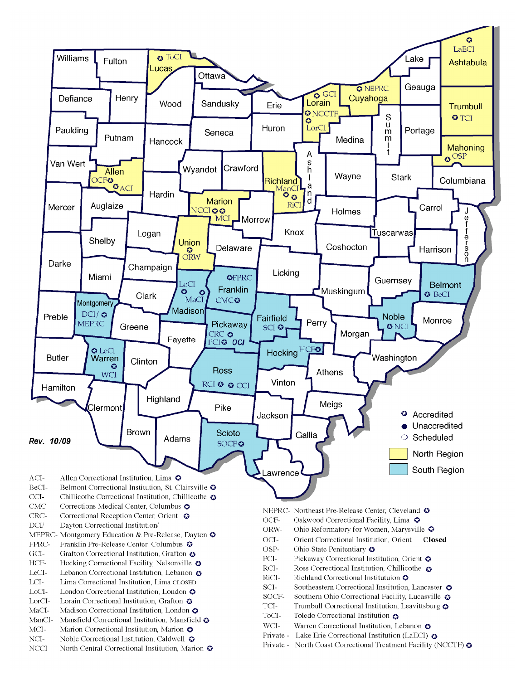